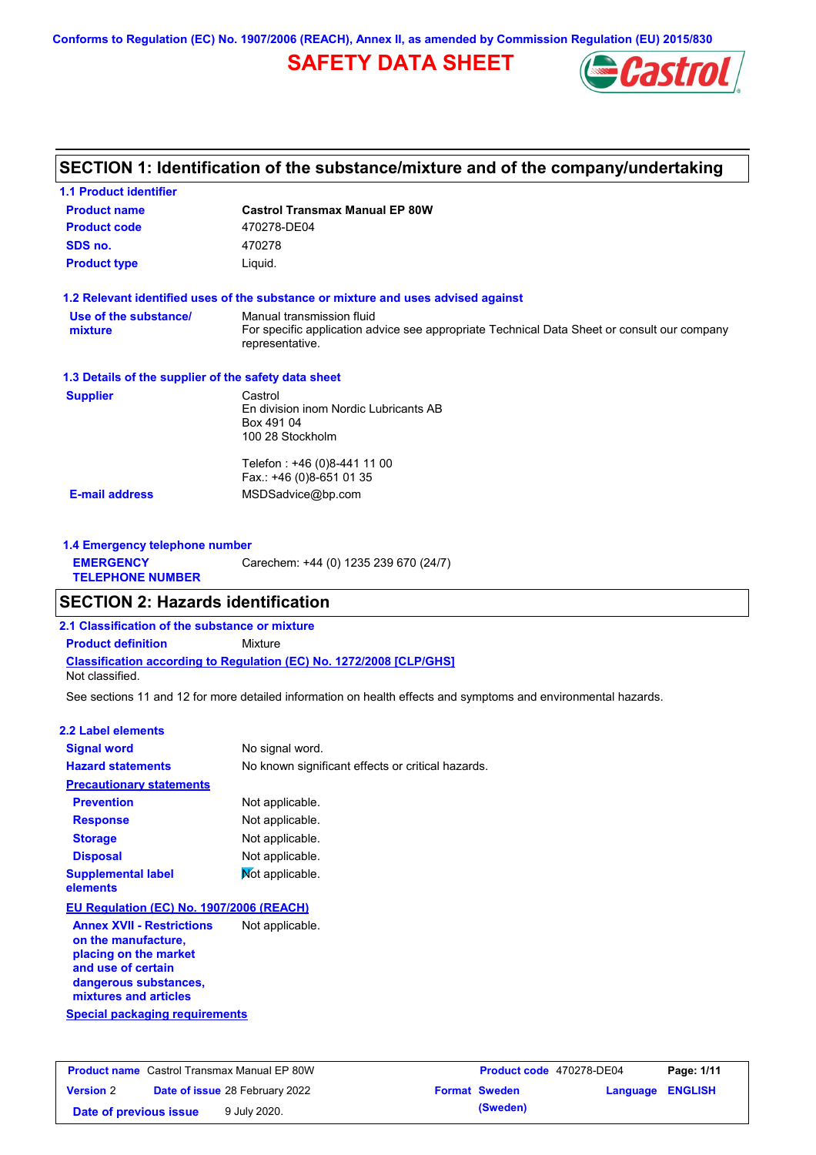**Conforms to Regulation (EC) No. 1907/2006 (REACH), Annex II, as amended by Commission Regulation (EU) 2015/830**

## **SAFETY DATA SHEET**



## **SECTION 1: Identification of the substance/mixture and of the company/undertaking**

| <b>1.1 Product identifier</b>                        |                                                                                                                                             |
|------------------------------------------------------|---------------------------------------------------------------------------------------------------------------------------------------------|
| <b>Product name</b>                                  | <b>Castrol Transmax Manual EP 80W</b>                                                                                                       |
| <b>Product code</b>                                  | 470278-DE04                                                                                                                                 |
| SDS no.                                              | 470278                                                                                                                                      |
| <b>Product type</b>                                  | Liquid.                                                                                                                                     |
|                                                      | 1.2 Relevant identified uses of the substance or mixture and uses advised against                                                           |
| Use of the substance/<br>mixture                     | Manual transmission fluid<br>For specific application advice see appropriate Technical Data Sheet or consult our company<br>representative. |
| 1.3 Details of the supplier of the safety data sheet |                                                                                                                                             |
| <b>Supplier</b>                                      | Castrol<br>En division inom Nordic Lubricants AB<br>Box 491 04<br>100 28 Stockholm                                                          |
| <b>E-mail address</b>                                | Telefon: +46 (0)8-441 11 00<br>Fax.: +46 (0)8-651 01 35<br>MSDSadvice@bp.com                                                                |
| 1.4 Emergency telephone number                       |                                                                                                                                             |
| <b>EMERGENCY</b><br><b>TELEPHONE NUMBER</b>          | Carechem: +44 (0) 1235 239 670 (24/7)                                                                                                       |

### **SECTION 2: Hazards identification**

**2.1 Classification of the substance or mixture**

**Classification according to Regulation (EC) No. 1272/2008 [CLP/GHS] Product definition** Mixture

Not classified.

See sections 11 and 12 for more detailed information on health effects and symptoms and environmental hazards.

### **2.2 Label elements**

| <b>Signal word</b>                                                                                                                                       | No signal word.                                   |
|----------------------------------------------------------------------------------------------------------------------------------------------------------|---------------------------------------------------|
| <b>Hazard statements</b>                                                                                                                                 | No known significant effects or critical hazards. |
| <b>Precautionary statements</b>                                                                                                                          |                                                   |
| <b>Prevention</b>                                                                                                                                        | Not applicable.                                   |
| <b>Response</b>                                                                                                                                          | Not applicable.                                   |
| <b>Storage</b>                                                                                                                                           | Not applicable.                                   |
| <b>Disposal</b>                                                                                                                                          | Not applicable.                                   |
| <b>Supplemental label</b><br>elements                                                                                                                    | Mot applicable.                                   |
| EU Regulation (EC) No. 1907/2006 (REACH)                                                                                                                 |                                                   |
| <b>Annex XVII - Restrictions</b><br>on the manufacture,<br>placing on the market<br>and use of certain<br>dangerous substances,<br>mixtures and articles | Not applicable.                                   |
| Special packaging requirements                                                                                                                           |                                                   |

| <b>Product name</b> Castrol Transmax Manual EP 80W |  | <b>Product code</b> 470278-DE04       |  | Page: 1/11           |                  |  |
|----------------------------------------------------|--|---------------------------------------|--|----------------------|------------------|--|
| <b>Version 2</b>                                   |  | <b>Date of issue 28 February 2022</b> |  | <b>Format Sweden</b> | Language ENGLISH |  |
| Date of previous issue                             |  | 9 July 2020.                          |  | (Sweden)             |                  |  |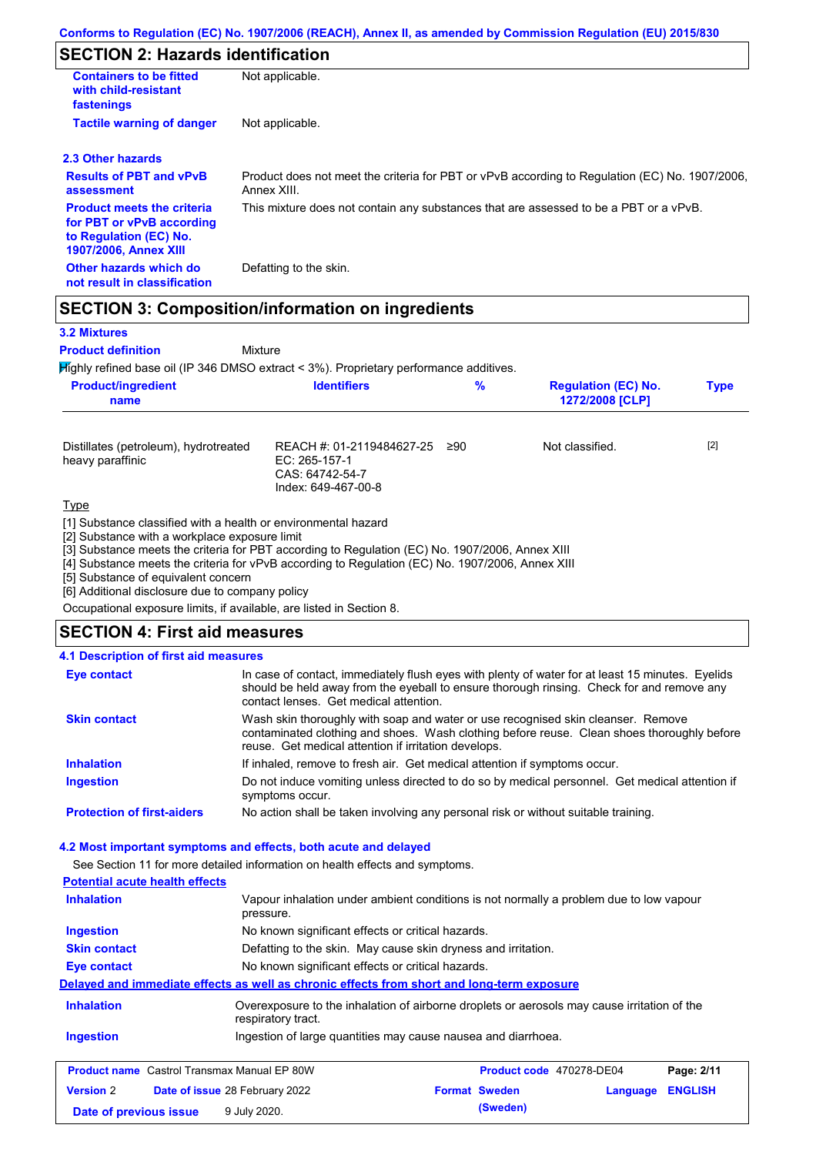## **SECTION 2: Hazards identification**

| <b>Containers to be fitted</b><br>with child-resistant<br>fastenings                                                     | Not applicable.                                                                                               |
|--------------------------------------------------------------------------------------------------------------------------|---------------------------------------------------------------------------------------------------------------|
| <b>Tactile warning of danger</b>                                                                                         | Not applicable.                                                                                               |
| 2.3 Other hazards                                                                                                        |                                                                                                               |
| <b>Results of PBT and vPvB</b><br>assessment                                                                             | Product does not meet the criteria for PBT or vPvB according to Regulation (EC) No. 1907/2006,<br>Annex XIII. |
| <b>Product meets the criteria</b><br>for PBT or vPvB according<br>to Regulation (EC) No.<br><b>1907/2006, Annex XIII</b> | This mixture does not contain any substances that are assessed to be a PBT or a vPvB.                         |
| Other hazards which do<br>not result in classification                                                                   | Defatting to the skin.                                                                                        |

### **SECTION 3: Composition/information on ingredients**

Mixture

#### **3.2 Mixtures**

**Product definition**

Highly refined base oil (IP 346 DMSO extract < 3%). Proprietary performance additives.

| <b>Product/ingredient</b><br>name | <b>Identifiers</b> | % | <b>Regulation (EC) No.</b><br>1272/2008 [CLP] | Type |
|-----------------------------------|--------------------|---|-----------------------------------------------|------|
|                                   |                    |   |                                               |      |

| Distillates (petroleum), hydrotreated<br>heavy paraffinic | REACH #: 01-2119484627-25 ≥90<br>EC: 265-157-1<br>CAS: 64742-54-7<br>Index: 649-467-00-8 | Not classified. | $[2]$ |
|-----------------------------------------------------------|------------------------------------------------------------------------------------------|-----------------|-------|
| <b>Type</b>                                               |                                                                                          |                 |       |

[1] Substance classified with a health or environmental hazard

[2] Substance with a workplace exposure limit

[3] Substance meets the criteria for PBT according to Regulation (EC) No. 1907/2006, Annex XIII

[4] Substance meets the criteria for vPvB according to Regulation (EC) No. 1907/2006, Annex XIII

[5] Substance of equivalent concern

[6] Additional disclosure due to company policy

Occupational exposure limits, if available, are listed in Section 8.

### **SECTION 4: First aid measures**

#### **4.1 Description of first aid measures**

| <b>Eye contact</b>                | In case of contact, immediately flush eyes with plenty of water for at least 15 minutes. Eyelids<br>should be held away from the eyeball to ensure thorough rinsing. Check for and remove any<br>contact lenses. Get medical attention. |
|-----------------------------------|-----------------------------------------------------------------------------------------------------------------------------------------------------------------------------------------------------------------------------------------|
| <b>Skin contact</b>               | Wash skin thoroughly with soap and water or use recognised skin cleanser. Remove<br>contaminated clothing and shoes. Wash clothing before reuse. Clean shoes thoroughly before<br>reuse. Get medical attention if irritation develops.  |
| <b>Inhalation</b>                 | If inhaled, remove to fresh air. Get medical attention if symptoms occur.                                                                                                                                                               |
| <b>Ingestion</b>                  | Do not induce vomiting unless directed to do so by medical personnel. Get medical attention if<br>symptoms occur.                                                                                                                       |
| <b>Protection of first-aiders</b> | No action shall be taken involving any personal risk or without suitable training.                                                                                                                                                      |

### **4.2 Most important symptoms and effects, both acute and delayed**

See Section 11 for more detailed information on health effects and symptoms.

### **Potential acute health effects**

| <b>Inhalation</b>                                  | Vapour inhalation under ambient conditions is not normally a problem due to low vapour<br>pressure.                |                          |          |                |  |  |
|----------------------------------------------------|--------------------------------------------------------------------------------------------------------------------|--------------------------|----------|----------------|--|--|
| <b>Ingestion</b>                                   | No known significant effects or critical hazards.<br>Defatting to the skin. May cause skin dryness and irritation. |                          |          |                |  |  |
| <b>Skin contact</b>                                |                                                                                                                    |                          |          |                |  |  |
| Eye contact                                        | No known significant effects or critical hazards.                                                                  |                          |          |                |  |  |
|                                                    | Delayed and immediate effects as well as chronic effects from short and long-term exposure                         |                          |          |                |  |  |
| <b>Inhalation</b>                                  | Overexposure to the inhalation of airborne droplets or aerosols may cause irritation of the<br>respiratory tract.  |                          |          |                |  |  |
| <b>Ingestion</b>                                   | Ingestion of large quantities may cause nausea and diarrhoea.                                                      |                          |          |                |  |  |
| <b>Product name</b> Castrol Transmax Manual EP 80W |                                                                                                                    | Product code 470278-DE04 |          | Page: 2/11     |  |  |
| <b>Version 2</b>                                   | Date of issue 28 February 2022                                                                                     | <b>Format Sweden</b>     | Language | <b>ENGLISH</b> |  |  |
| Date of previous issue                             | 9 July 2020.                                                                                                       | (Sweden)                 |          |                |  |  |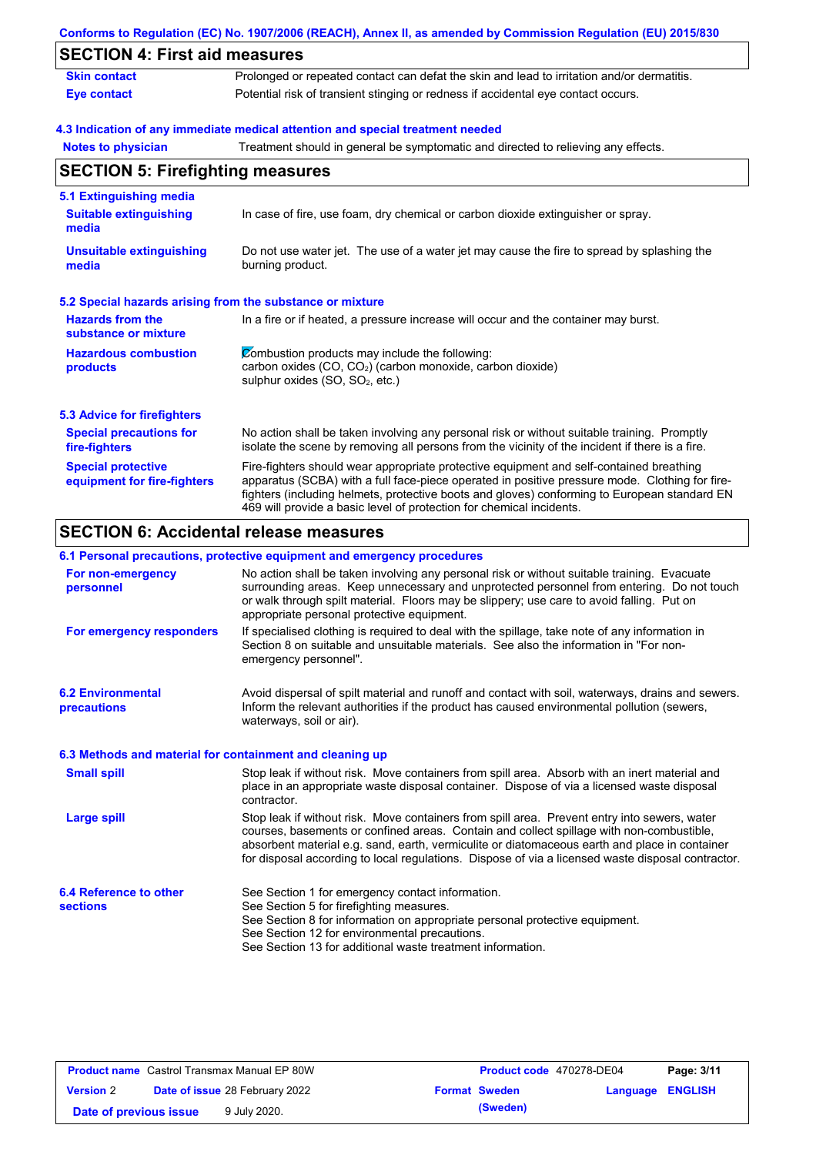|                                                           | Conforms to Regulation (EC) No. 1907/2006 (REACH), Annex II, as amended by Commission Regulation (EU) 2015/830                                                                                                                                                                                                                                                    |
|-----------------------------------------------------------|-------------------------------------------------------------------------------------------------------------------------------------------------------------------------------------------------------------------------------------------------------------------------------------------------------------------------------------------------------------------|
| <b>SECTION 4: First aid measures</b>                      |                                                                                                                                                                                                                                                                                                                                                                   |
| <b>Skin contact</b>                                       | Prolonged or repeated contact can defat the skin and lead to irritation and/or dermatitis.                                                                                                                                                                                                                                                                        |
| <b>Eye contact</b>                                        | Potential risk of transient stinging or redness if accidental eye contact occurs.                                                                                                                                                                                                                                                                                 |
|                                                           | 4.3 Indication of any immediate medical attention and special treatment needed                                                                                                                                                                                                                                                                                    |
| <b>Notes to physician</b>                                 | Treatment should in general be symptomatic and directed to relieving any effects.                                                                                                                                                                                                                                                                                 |
| <b>SECTION 5: Firefighting measures</b>                   |                                                                                                                                                                                                                                                                                                                                                                   |
| 5.1 Extinguishing media                                   |                                                                                                                                                                                                                                                                                                                                                                   |
| <b>Suitable extinguishing</b><br>media                    | In case of fire, use foam, dry chemical or carbon dioxide extinguisher or spray.                                                                                                                                                                                                                                                                                  |
| <b>Unsuitable extinguishing</b><br>media                  | Do not use water jet. The use of a water jet may cause the fire to spread by splashing the<br>burning product.                                                                                                                                                                                                                                                    |
| 5.2 Special hazards arising from the substance or mixture |                                                                                                                                                                                                                                                                                                                                                                   |
| <b>Hazards from the</b><br>substance or mixture           | In a fire or if heated, a pressure increase will occur and the container may burst.                                                                                                                                                                                                                                                                               |
| <b>Hazardous combustion</b><br>products                   | Combustion products may include the following:<br>carbon oxides (CO, CO <sub>2</sub> ) (carbon monoxide, carbon dioxide)<br>sulphur oxides (SO, SO <sub>2</sub> , etc.)                                                                                                                                                                                           |
| <b>5.3 Advice for firefighters</b>                        |                                                                                                                                                                                                                                                                                                                                                                   |
| <b>Special precautions for</b><br>fire-fighters           | No action shall be taken involving any personal risk or without suitable training. Promptly<br>isolate the scene by removing all persons from the vicinity of the incident if there is a fire.                                                                                                                                                                    |
| <b>Special protective</b><br>equipment for fire-fighters  | Fire-fighters should wear appropriate protective equipment and self-contained breathing<br>apparatus (SCBA) with a full face-piece operated in positive pressure mode. Clothing for fire-<br>fighters (including helmets, protective boots and gloves) conforming to European standard EN<br>469 will provide a basic level of protection for chemical incidents. |

#### **6.1 Personal precautions, protective equipment and emergency procedures**

|                                                          | v. i i croonar procaationo, protocityc cquipment and chicrychev procedures                                                                                                                                                                                                                                                                                                                     |
|----------------------------------------------------------|------------------------------------------------------------------------------------------------------------------------------------------------------------------------------------------------------------------------------------------------------------------------------------------------------------------------------------------------------------------------------------------------|
| For non-emergency<br>personnel                           | No action shall be taken involving any personal risk or without suitable training. Evacuate<br>surrounding areas. Keep unnecessary and unprotected personnel from entering. Do not touch<br>or walk through spilt material. Floors may be slippery; use care to avoid falling. Put on<br>appropriate personal protective equipment.                                                            |
| For emergency responders                                 | If specialised clothing is required to deal with the spillage, take note of any information in<br>Section 8 on suitable and unsuitable materials. See also the information in "For non-<br>emergency personnel".                                                                                                                                                                               |
| <b>6.2 Environmental</b><br>precautions                  | Avoid dispersal of spilt material and runoff and contact with soil, waterways, drains and sewers.<br>Inform the relevant authorities if the product has caused environmental pollution (sewers,<br>waterways, soil or air).                                                                                                                                                                    |
| 6.3 Methods and material for containment and cleaning up |                                                                                                                                                                                                                                                                                                                                                                                                |
| <b>Small spill</b>                                       | Stop leak if without risk. Move containers from spill area. Absorb with an inert material and<br>place in an appropriate waste disposal container. Dispose of via a licensed waste disposal<br>contractor.                                                                                                                                                                                     |
| Large spill                                              | Stop leak if without risk. Move containers from spill area. Prevent entry into sewers, water<br>courses, basements or confined areas. Contain and collect spillage with non-combustible,<br>absorbent material e.g. sand, earth, vermiculite or diatomaceous earth and place in container<br>for disposal according to local regulations. Dispose of via a licensed waste disposal contractor. |
| 6.4 Reference to other<br><b>sections</b>                | See Section 1 for emergency contact information.<br>See Section 5 for firefighting measures.                                                                                                                                                                                                                                                                                                   |
|                                                          | See Section 8 for information on appropriate personal protective equipment.<br>See Section 12 for environmental precautions.<br>See Section 13 for additional waste treatment information.                                                                                                                                                                                                     |

| <b>Product name</b> Castrol Transmax Manual EP 80W |  | Product code 470278-DE04              |  | Page: 3/11           |                         |  |
|----------------------------------------------------|--|---------------------------------------|--|----------------------|-------------------------|--|
| <b>Version 2</b>                                   |  | <b>Date of issue 28 February 2022</b> |  | <b>Format Sweden</b> | <b>Language ENGLISH</b> |  |
| Date of previous issue                             |  | 9 July 2020.                          |  | (Sweden)             |                         |  |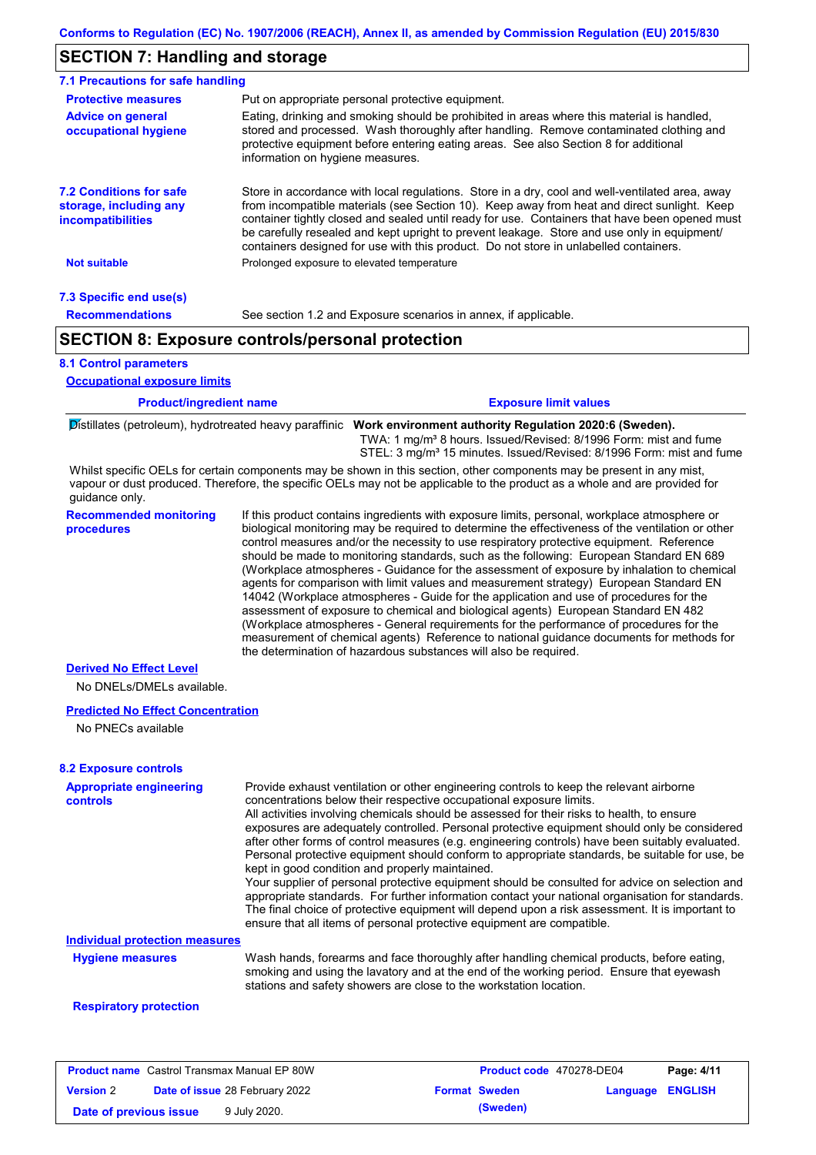### **SECTION 7: Handling and storage**

| 7.1 Precautions for safe handling                                                    |                                                                                                                                                                                                                                                                                                                                                                                                                                                                                          |
|--------------------------------------------------------------------------------------|------------------------------------------------------------------------------------------------------------------------------------------------------------------------------------------------------------------------------------------------------------------------------------------------------------------------------------------------------------------------------------------------------------------------------------------------------------------------------------------|
| <b>Protective measures</b>                                                           | Put on appropriate personal protective equipment.                                                                                                                                                                                                                                                                                                                                                                                                                                        |
| <b>Advice on general</b><br>occupational hygiene                                     | Eating, drinking and smoking should be prohibited in areas where this material is handled,<br>stored and processed. Wash thoroughly after handling. Remove contaminated clothing and<br>protective equipment before entering eating areas. See also Section 8 for additional<br>information on hygiene measures.                                                                                                                                                                         |
| <b>7.2 Conditions for safe</b><br>storage, including any<br><i>incompatibilities</i> | Store in accordance with local requlations. Store in a dry, cool and well-ventilated area, away<br>from incompatible materials (see Section 10). Keep away from heat and direct sunlight. Keep<br>container tightly closed and sealed until ready for use. Containers that have been opened must<br>be carefully resealed and kept upright to prevent leakage. Store and use only in equipment/<br>containers designed for use with this product. Do not store in unlabelled containers. |
| <b>Not suitable</b>                                                                  | Prolonged exposure to elevated temperature                                                                                                                                                                                                                                                                                                                                                                                                                                               |
| 7.3 Specific end use(s)                                                              |                                                                                                                                                                                                                                                                                                                                                                                                                                                                                          |
| <b>Recommendations</b>                                                               | See section 1.2 and Exposure scenarios in annex, if applicable.                                                                                                                                                                                                                                                                                                                                                                                                                          |
|                                                                                      | <b>SECTION 8: Exposure controls/personal protection</b>                                                                                                                                                                                                                                                                                                                                                                                                                                  |

#### **8.1 Control parameters**

**Occupational exposure limits**

| <b>Product/ingredient name</b> | <b>Exposure limit values</b>                                                                                  |
|--------------------------------|---------------------------------------------------------------------------------------------------------------|
|                                | Distillates (petroleum), hydrotreated heavy paraffinic Work environment authority Regulation 2020:6 (Sweden). |

Whilst specific OELs for certain components may be shown in this section, other components may be present in any mist, TWA: 1 mg/m³ 8 hours. Issued/Revised: 8/1996 Form: mist and fume STEL: 3 mg/m<sup>3</sup> 15 minutes. Issued/Revised: 8/1996 Form: mist and fume

vapour or dust produced. Therefore, the specific OELs may not be applicable to the product as a whole and are provided for guidance only.

**Recommended monitoring procedures** If this product contains ingredients with exposure limits, personal, workplace atmosphere or biological monitoring may be required to determine the effectiveness of the ventilation or other control measures and/or the necessity to use respiratory protective equipment. Reference should be made to monitoring standards, such as the following: European Standard EN 689 (Workplace atmospheres - Guidance for the assessment of exposure by inhalation to chemical agents for comparison with limit values and measurement strategy) European Standard EN 14042 (Workplace atmospheres - Guide for the application and use of procedures for the assessment of exposure to chemical and biological agents) European Standard EN 482 (Workplace atmospheres - General requirements for the performance of procedures for the measurement of chemical agents) Reference to national guidance documents for methods for the determination of hazardous substances will also be required.

#### **Derived No Effect Level**

No DNELs/DMELs available.

#### **Predicted No Effect Concentration**

No PNECs available

#### **8.2 Exposure controls**

| <b>Appropriate engineering</b><br>controls | Provide exhaust ventilation or other engineering controls to keep the relevant airborne<br>concentrations below their respective occupational exposure limits.<br>All activities involving chemicals should be assessed for their risks to health, to ensure<br>exposures are adequately controlled. Personal protective equipment should only be considered<br>after other forms of control measures (e.g. engineering controls) have been suitably evaluated.<br>Personal protective equipment should conform to appropriate standards, be suitable for use, be<br>kept in good condition and properly maintained.<br>Your supplier of personal protective equipment should be consulted for advice on selection and<br>appropriate standards. For further information contact your national organisation for standards.<br>The final choice of protective equipment will depend upon a risk assessment. It is important to<br>ensure that all items of personal protective equipment are compatible. |
|--------------------------------------------|---------------------------------------------------------------------------------------------------------------------------------------------------------------------------------------------------------------------------------------------------------------------------------------------------------------------------------------------------------------------------------------------------------------------------------------------------------------------------------------------------------------------------------------------------------------------------------------------------------------------------------------------------------------------------------------------------------------------------------------------------------------------------------------------------------------------------------------------------------------------------------------------------------------------------------------------------------------------------------------------------------|
| <b>Individual protection measures</b>      |                                                                                                                                                                                                                                                                                                                                                                                                                                                                                                                                                                                                                                                                                                                                                                                                                                                                                                                                                                                                         |
| <b>Hygiene measures</b>                    | Wash hands, forearms and face thoroughly after handling chemical products, before eating,<br>smoking and using the lavatory and at the end of the working period. Ensure that eyewash<br>stations and safety showers are close to the workstation location.                                                                                                                                                                                                                                                                                                                                                                                                                                                                                                                                                                                                                                                                                                                                             |
|                                            |                                                                                                                                                                                                                                                                                                                                                                                                                                                                                                                                                                                                                                                                                                                                                                                                                                                                                                                                                                                                         |

#### **Respiratory protection**

|                        | <b>Product name</b> Castrol Transmax Manual EP 80W | <b>Product code</b> 470278-DE04 |                  | Page: 4/11 |
|------------------------|----------------------------------------------------|---------------------------------|------------------|------------|
| <b>Version 2</b>       | <b>Date of issue 28 February 2022</b>              | <b>Format Sweden</b>            | Language ENGLISH |            |
| Date of previous issue | 9 July 2020.                                       | (Sweden)                        |                  |            |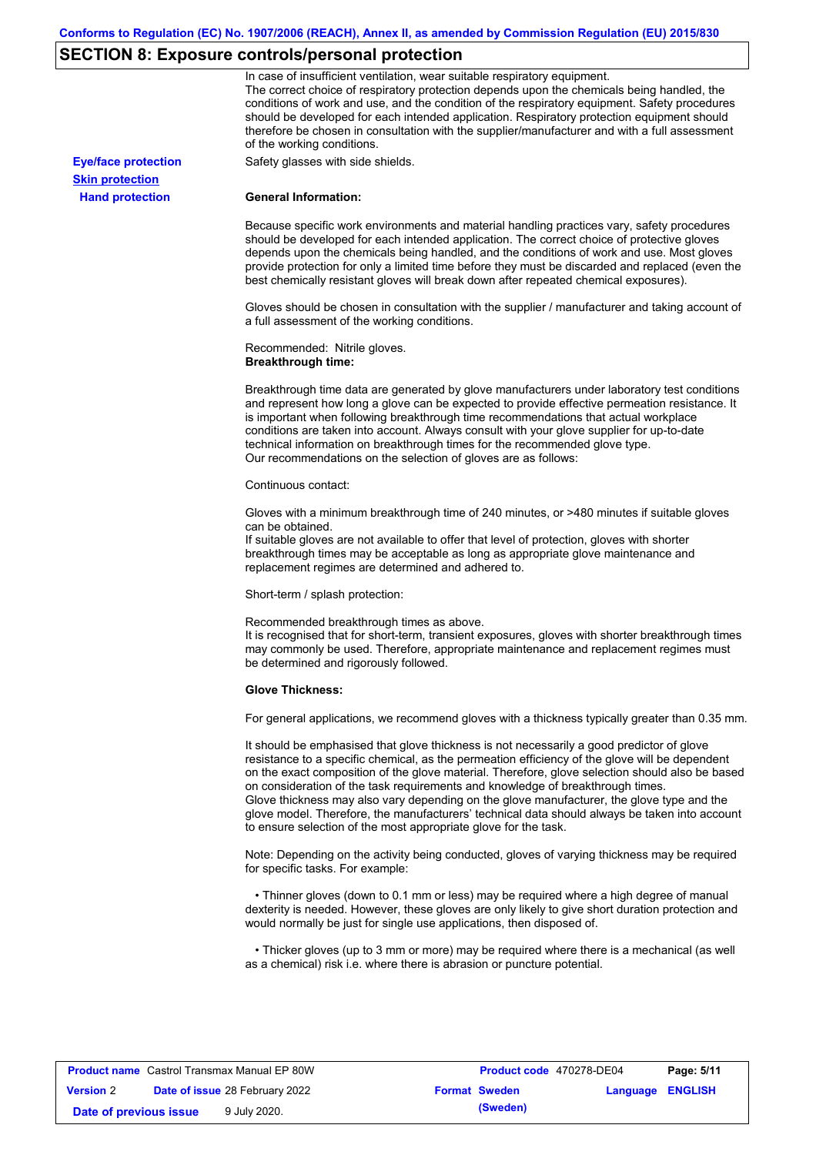# **SECTION 8: Exposure controls/personal protection**

|                            | In case of insufficient ventilation, wear suitable respiratory equipment.                                                                                                                                                                                                                                                                                                                                                                                                                                                                                                                                                                         |
|----------------------------|---------------------------------------------------------------------------------------------------------------------------------------------------------------------------------------------------------------------------------------------------------------------------------------------------------------------------------------------------------------------------------------------------------------------------------------------------------------------------------------------------------------------------------------------------------------------------------------------------------------------------------------------------|
|                            | The correct choice of respiratory protection depends upon the chemicals being handled, the<br>conditions of work and use, and the condition of the respiratory equipment. Safety procedures<br>should be developed for each intended application. Respiratory protection equipment should<br>therefore be chosen in consultation with the supplier/manufacturer and with a full assessment<br>of the working conditions.                                                                                                                                                                                                                          |
| <b>Eye/face protection</b> | Safety glasses with side shields.                                                                                                                                                                                                                                                                                                                                                                                                                                                                                                                                                                                                                 |
| <b>Skin protection</b>     |                                                                                                                                                                                                                                                                                                                                                                                                                                                                                                                                                                                                                                                   |
| <b>Hand protection</b>     | <b>General Information:</b>                                                                                                                                                                                                                                                                                                                                                                                                                                                                                                                                                                                                                       |
|                            | Because specific work environments and material handling practices vary, safety procedures<br>should be developed for each intended application. The correct choice of protective gloves<br>depends upon the chemicals being handled, and the conditions of work and use. Most gloves<br>provide protection for only a limited time before they must be discarded and replaced (even the<br>best chemically resistant gloves will break down after repeated chemical exposures).                                                                                                                                                                  |
|                            | Gloves should be chosen in consultation with the supplier / manufacturer and taking account of<br>a full assessment of the working conditions.                                                                                                                                                                                                                                                                                                                                                                                                                                                                                                    |
|                            | Recommended: Nitrile gloves.<br><b>Breakthrough time:</b>                                                                                                                                                                                                                                                                                                                                                                                                                                                                                                                                                                                         |
|                            | Breakthrough time data are generated by glove manufacturers under laboratory test conditions<br>and represent how long a glove can be expected to provide effective permeation resistance. It<br>is important when following breakthrough time recommendations that actual workplace<br>conditions are taken into account. Always consult with your glove supplier for up-to-date<br>technical information on breakthrough times for the recommended glove type.<br>Our recommendations on the selection of gloves are as follows:                                                                                                                |
|                            | Continuous contact:                                                                                                                                                                                                                                                                                                                                                                                                                                                                                                                                                                                                                               |
|                            | Gloves with a minimum breakthrough time of 240 minutes, or >480 minutes if suitable gloves<br>can be obtained.<br>If suitable gloves are not available to offer that level of protection, gloves with shorter<br>breakthrough times may be acceptable as long as appropriate glove maintenance and<br>replacement regimes are determined and adhered to.                                                                                                                                                                                                                                                                                          |
|                            | Short-term / splash protection:                                                                                                                                                                                                                                                                                                                                                                                                                                                                                                                                                                                                                   |
|                            | Recommended breakthrough times as above.<br>It is recognised that for short-term, transient exposures, gloves with shorter breakthrough times<br>may commonly be used. Therefore, appropriate maintenance and replacement regimes must<br>be determined and rigorously followed.                                                                                                                                                                                                                                                                                                                                                                  |
|                            | <b>Glove Thickness:</b>                                                                                                                                                                                                                                                                                                                                                                                                                                                                                                                                                                                                                           |
|                            | For general applications, we recommend gloves with a thickness typically greater than 0.35 mm.                                                                                                                                                                                                                                                                                                                                                                                                                                                                                                                                                    |
|                            | It should be emphasised that glove thickness is not necessarily a good predictor of glove<br>resistance to a specific chemical, as the permeation efficiency of the glove will be dependent<br>on the exact composition of the glove material. Therefore, glove selection should also be based<br>on consideration of the task requirements and knowledge of breakthrough times.<br>Glove thickness may also vary depending on the glove manufacturer, the glove type and the<br>glove model. Therefore, the manufacturers' technical data should always be taken into account<br>to ensure selection of the most appropriate glove for the task. |
|                            | Note: Depending on the activity being conducted, gloves of varying thickness may be required<br>for specific tasks. For example:                                                                                                                                                                                                                                                                                                                                                                                                                                                                                                                  |
|                            | • Thinner gloves (down to 0.1 mm or less) may be required where a high degree of manual<br>dexterity is needed. However, these gloves are only likely to give short duration protection and<br>would normally be just for single use applications, then disposed of.                                                                                                                                                                                                                                                                                                                                                                              |
|                            | • Thicker gloves (up to 3 mm or more) may be required where there is a mechanical (as well<br>as a chemical) risk i.e. where there is abrasion or puncture potential.                                                                                                                                                                                                                                                                                                                                                                                                                                                                             |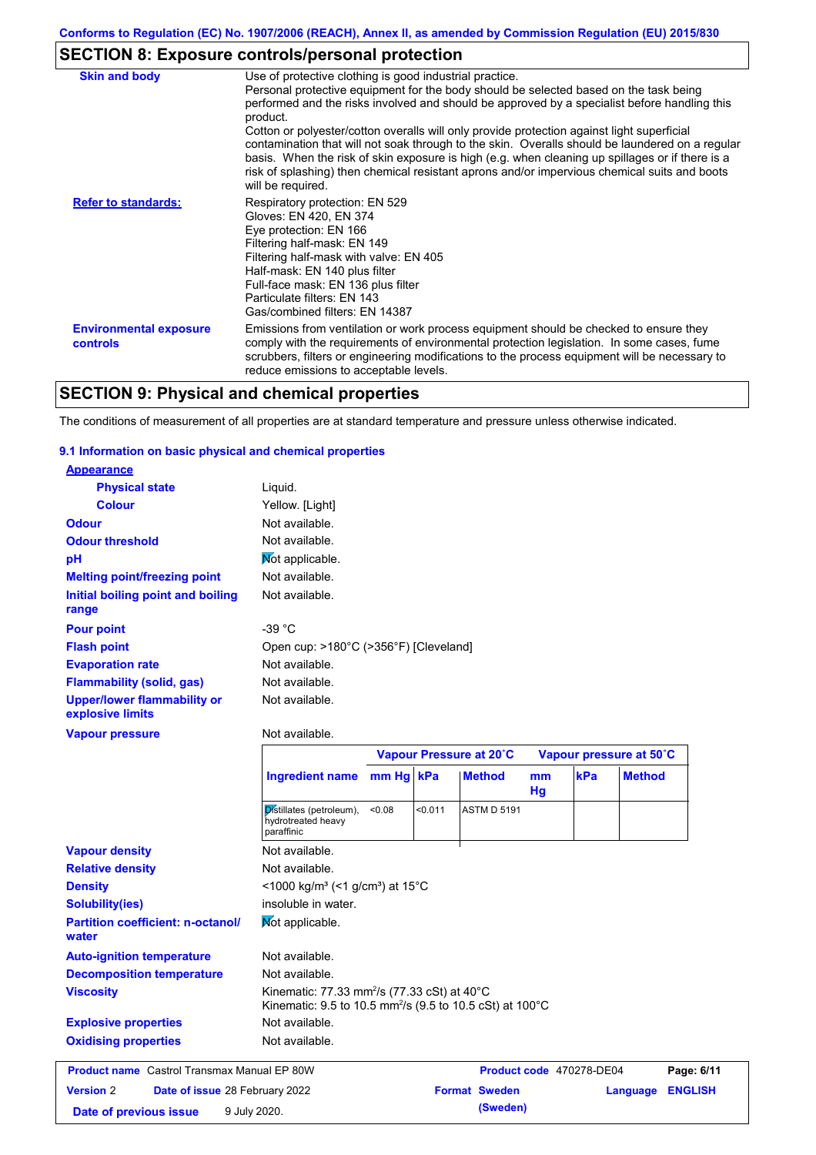## **SECTION 8: Exposure controls/personal protection**

| <b>Skin and body</b>                             | Use of protective clothing is good industrial practice.                                                                                                                                                                                                                                                                                                                                                                                                                                                                                                                                                                    |
|--------------------------------------------------|----------------------------------------------------------------------------------------------------------------------------------------------------------------------------------------------------------------------------------------------------------------------------------------------------------------------------------------------------------------------------------------------------------------------------------------------------------------------------------------------------------------------------------------------------------------------------------------------------------------------------|
|                                                  | Personal protective equipment for the body should be selected based on the task being<br>performed and the risks involved and should be approved by a specialist before handling this<br>product.<br>Cotton or polyester/cotton overalls will only provide protection against light superficial<br>contamination that will not soak through to the skin. Overalls should be laundered on a regular<br>basis. When the risk of skin exposure is high (e.g. when cleaning up spillages or if there is a<br>risk of splashing) then chemical resistant aprons and/or impervious chemical suits and boots<br>will be required. |
| <b>Refer to standards:</b>                       | Respiratory protection: EN 529<br>Gloves: EN 420, EN 374<br>Eye protection: EN 166<br>Filtering half-mask: EN 149<br>Filtering half-mask with valve: EN 405<br>Half-mask: EN 140 plus filter<br>Full-face mask: EN 136 plus filter<br>Particulate filters: EN 143<br>Gas/combined filters: EN 14387                                                                                                                                                                                                                                                                                                                        |
| <b>Environmental exposure</b><br><b>controls</b> | Emissions from ventilation or work process equipment should be checked to ensure they<br>comply with the requirements of environmental protection legislation. In some cases, fume<br>scrubbers, filters or engineering modifications to the process equipment will be necessary to<br>reduce emissions to acceptable levels.                                                                                                                                                                                                                                                                                              |

## **SECTION 9: Physical and chemical properties**

The conditions of measurement of all properties are at standard temperature and pressure unless otherwise indicated.

### **9.1 Information on basic physical and chemical properties**

| <b>Appearance</b>                                      |                                                                      |           |         |                         |          |     |                         |
|--------------------------------------------------------|----------------------------------------------------------------------|-----------|---------|-------------------------|----------|-----|-------------------------|
| <b>Physical state</b>                                  | Liquid.                                                              |           |         |                         |          |     |                         |
| <b>Colour</b>                                          | Yellow. [Light]                                                      |           |         |                         |          |     |                         |
| <b>Odour</b>                                           | Not available.                                                       |           |         |                         |          |     |                         |
| <b>Odour threshold</b>                                 | Not available.                                                       |           |         |                         |          |     |                         |
| pH                                                     | Mot applicable.                                                      |           |         |                         |          |     |                         |
| <b>Melting point/freezing point</b>                    | Not available.                                                       |           |         |                         |          |     |                         |
| Initial boiling point and boiling<br>range             | Not available.                                                       |           |         |                         |          |     |                         |
| <b>Pour point</b>                                      | $-39 °C$                                                             |           |         |                         |          |     |                         |
| <b>Flash point</b>                                     | Open cup: >180°C (>356°F) [Cleveland]                                |           |         |                         |          |     |                         |
| <b>Evaporation rate</b>                                | Not available.                                                       |           |         |                         |          |     |                         |
| <b>Flammability (solid, gas)</b>                       | Not available.                                                       |           |         |                         |          |     |                         |
| <b>Upper/lower flammability or</b><br>explosive limits | Not available.                                                       |           |         |                         |          |     |                         |
| <b>Vapour pressure</b>                                 | Not available.                                                       |           |         |                         |          |     |                         |
|                                                        |                                                                      |           |         | Vapour Pressure at 20°C |          |     | Vapour pressure at 50°C |
|                                                        |                                                                      |           |         |                         |          |     |                         |
|                                                        | <b>Ingredient name</b>                                               | mm Hg kPa |         | <b>Method</b>           | mm<br>Hg | kPa | <b>Method</b>           |
|                                                        | Distillates (petroleum),<br>hydrotreated heavy<br>paraffinic         | 0.08      | < 0.011 | <b>ASTM D 5191</b>      |          |     |                         |
| <b>Vapour density</b>                                  | Not available.                                                       |           |         |                         |          |     |                         |
| <b>Relative density</b>                                | Not available.                                                       |           |         |                         |          |     |                         |
| <b>Density</b>                                         | <1000 kg/m <sup>3</sup> (<1 g/cm <sup>3</sup> ) at 15 <sup>°</sup> C |           |         |                         |          |     |                         |
| <b>Solubility(ies)</b>                                 | insoluble in water.                                                  |           |         |                         |          |     |                         |
| <b>Partition coefficient: n-octanol/</b><br>water      | Mot applicable.                                                      |           |         |                         |          |     |                         |
| <b>Auto-ignition temperature</b>                       | Not available.                                                       |           |         |                         |          |     |                         |
| <b>Decomposition temperature</b>                       | Not available.                                                       |           |         |                         |          |     |                         |

Not available.

### **Explosive properties Oxidising properties** Not available.

|                        | <b>Product name</b> Castrol Transmax Manual EP 80W | Product code 470278-DE04 |                         | Page: 6/11 |
|------------------------|----------------------------------------------------|--------------------------|-------------------------|------------|
| <b>Version 2</b>       | <b>Date of issue 28 February 2022</b>              | <b>Format Sweden</b>     | <b>Language ENGLISH</b> |            |
| Date of previous issue | 9 July 2020.                                       | (Sweden)                 |                         |            |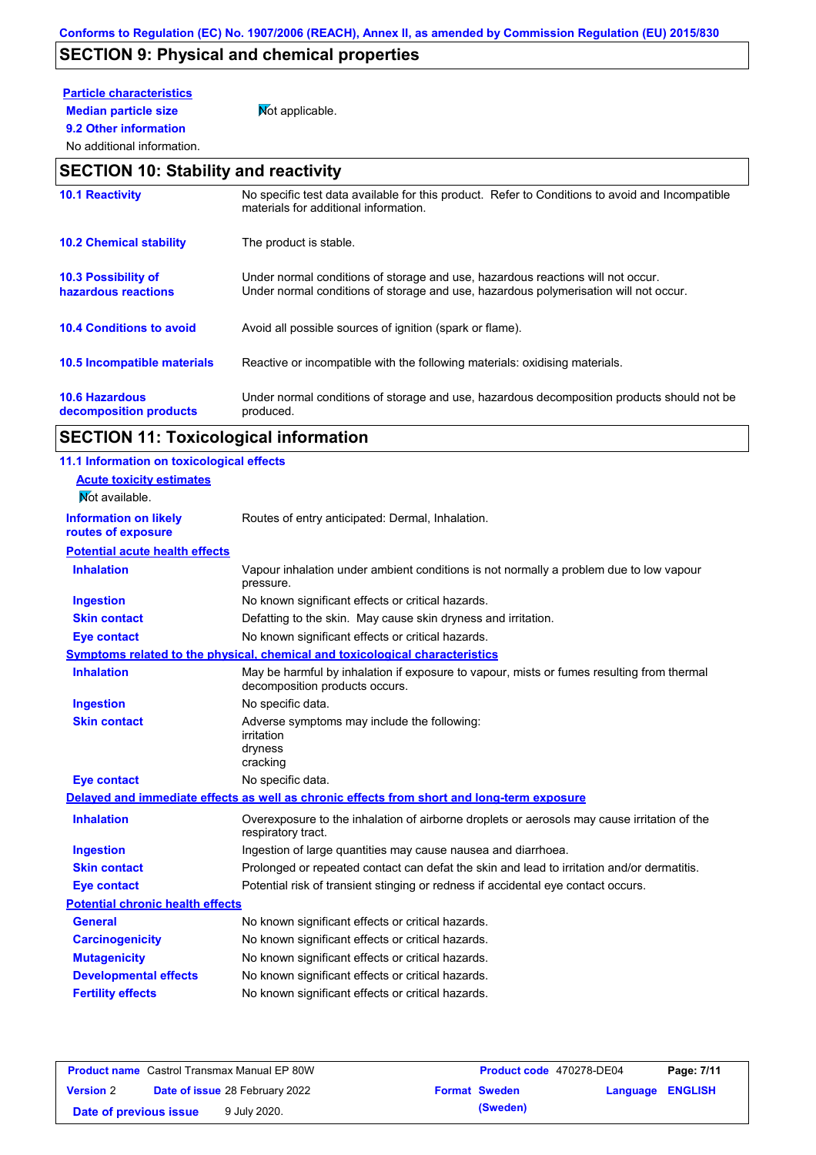## **SECTION 9: Physical and chemical properties**

## **Particle characteristics**

**9.2 Other information**

**Median particle size** Not applicable.

### No additional information.

### **SECTION 10: Stability and reactivity**

| <b>10.1 Reactivity</b>                            | No specific test data available for this product. Refer to Conditions to avoid and Incompatible<br>materials for additional information.                                |
|---------------------------------------------------|-------------------------------------------------------------------------------------------------------------------------------------------------------------------------|
| <b>10.2 Chemical stability</b>                    | The product is stable.                                                                                                                                                  |
| <b>10.3 Possibility of</b><br>hazardous reactions | Under normal conditions of storage and use, hazardous reactions will not occur.<br>Under normal conditions of storage and use, hazardous polymerisation will not occur. |
| <b>10.4 Conditions to avoid</b>                   | Avoid all possible sources of ignition (spark or flame).                                                                                                                |
| 10.5 Incompatible materials                       | Reactive or incompatible with the following materials: oxidising materials.                                                                                             |
| <b>10.6 Hazardous</b><br>decomposition products   | Under normal conditions of storage and use, hazardous decomposition products should not be<br>produced.                                                                 |

# **SECTION 11: Toxicological information**

| 11.1 Information on toxicological effects |                                                                                                                             |
|-------------------------------------------|-----------------------------------------------------------------------------------------------------------------------------|
| <b>Acute toxicity estimates</b>           |                                                                                                                             |
| Not available.                            |                                                                                                                             |
| <b>Information on likely</b>              | Routes of entry anticipated: Dermal, Inhalation.                                                                            |
| routes of exposure                        |                                                                                                                             |
| <b>Potential acute health effects</b>     |                                                                                                                             |
| <b>Inhalation</b>                         | Vapour inhalation under ambient conditions is not normally a problem due to low vapour<br>pressure.                         |
| <b>Ingestion</b>                          | No known significant effects or critical hazards.                                                                           |
| <b>Skin contact</b>                       | Defatting to the skin. May cause skin dryness and irritation.                                                               |
| <b>Eye contact</b>                        | No known significant effects or critical hazards.                                                                           |
|                                           | Symptoms related to the physical, chemical and toxicological characteristics                                                |
| <b>Inhalation</b>                         | May be harmful by inhalation if exposure to vapour, mists or fumes resulting from thermal<br>decomposition products occurs. |
| <b>Ingestion</b>                          | No specific data.                                                                                                           |
| <b>Skin contact</b>                       | Adverse symptoms may include the following:<br>irritation<br>dryness<br>cracking                                            |
| <b>Eye contact</b>                        | No specific data.                                                                                                           |
|                                           | Delayed and immediate effects as well as chronic effects from short and long-term exposure                                  |
| <b>Inhalation</b>                         | Overexposure to the inhalation of airborne droplets or aerosols may cause irritation of the<br>respiratory tract.           |
| <b>Ingestion</b>                          | Ingestion of large quantities may cause nausea and diarrhoea.                                                               |
| <b>Skin contact</b>                       | Prolonged or repeated contact can defat the skin and lead to irritation and/or dermatitis.                                  |
| <b>Eye contact</b>                        | Potential risk of transient stinging or redness if accidental eye contact occurs.                                           |
| <b>Potential chronic health effects</b>   |                                                                                                                             |
| <b>General</b>                            | No known significant effects or critical hazards.                                                                           |
| <b>Carcinogenicity</b>                    | No known significant effects or critical hazards.                                                                           |
| <b>Mutagenicity</b>                       | No known significant effects or critical hazards.                                                                           |
| <b>Developmental effects</b>              | No known significant effects or critical hazards.                                                                           |
| <b>Fertility effects</b>                  | No known significant effects or critical hazards.                                                                           |
|                                           |                                                                                                                             |

|                        | <b>Product name</b> Castrol Transmax Manual EP 80W | Product code 470278-DE04 |          | Page: 7/11     |
|------------------------|----------------------------------------------------|--------------------------|----------|----------------|
| <b>Version 2</b>       | <b>Date of issue 28 February 2022</b>              | <b>Format Sweden</b>     | Language | <b>ENGLISH</b> |
| Date of previous issue | 9 July 2020.                                       | (Sweden)                 |          |                |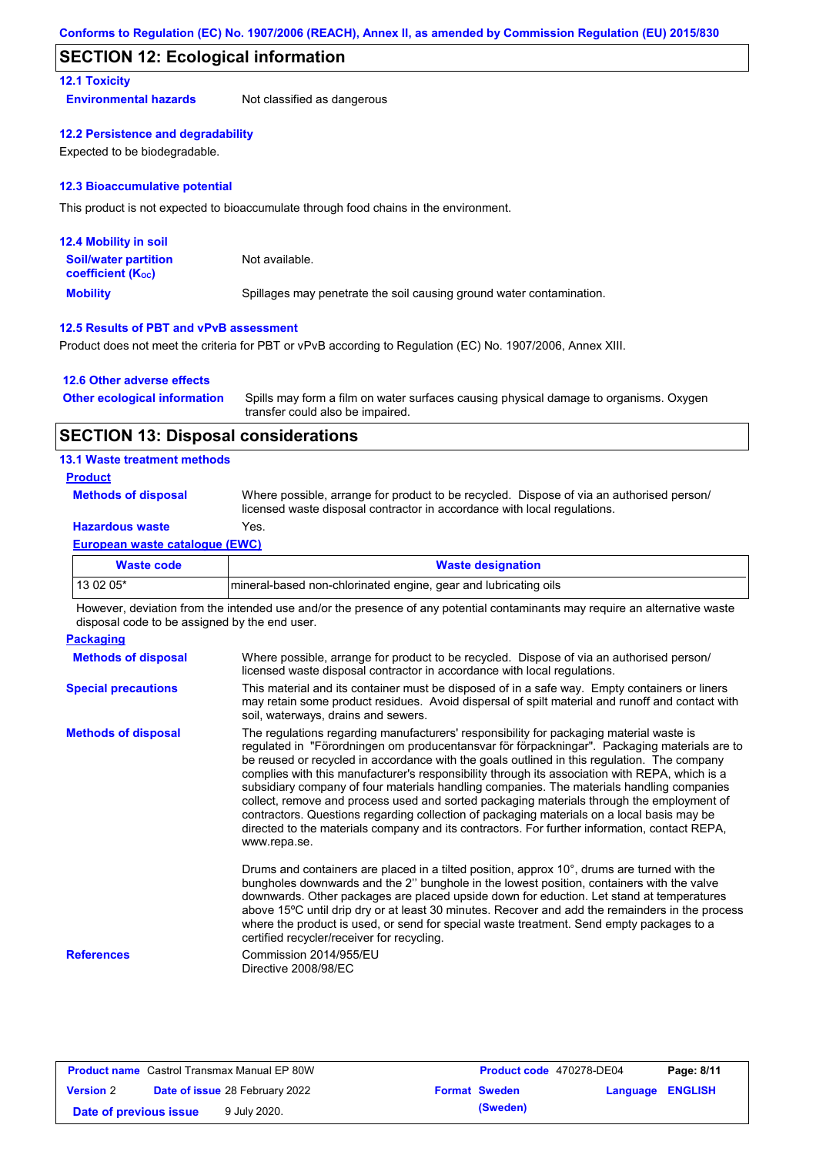### **SECTION 12: Ecological information**

### **12.1 Toxicity**

**Environmental hazards** Not classified as dangerous

### **12.2 Persistence and degradability**

Expected to be biodegradable.

### **12.3 Bioaccumulative potential**

This product is not expected to bioaccumulate through food chains in the environment.

| <b>12.4 Mobility in soil</b>                                  |                                                                      |
|---------------------------------------------------------------|----------------------------------------------------------------------|
| <b>Soil/water partition</b><br>coefficient (K <sub>oc</sub> ) | Not available.                                                       |
| <b>Mobility</b>                                               | Spillages may penetrate the soil causing ground water contamination. |

### **12.5 Results of PBT and vPvB assessment**

Product does not meet the criteria for PBT or vPvB according to Regulation (EC) No. 1907/2006, Annex XIII.

### **12.6 Other adverse effects**

| <b>Other ecological information</b> | Spills may form a film on water surfaces causing physical damage to organisms. Oxygen |
|-------------------------------------|---------------------------------------------------------------------------------------|
|                                     | transfer could also be impaired.                                                      |

### **SECTION 13: Disposal considerations**

### **13.1 Waste treatment methods**

### **Product**

**Methods of disposal**

Where possible, arrange for product to be recycled. Dispose of via an authorised person/ licensed waste disposal contractor in accordance with local regulations.

### **Hazardous waste** Yes.

### **European waste catalogue (EWC)**

| Waste code | <b>Waste designation</b>                                         |
|------------|------------------------------------------------------------------|
| 13 02 05*  | Imineral-based non-chlorinated engine, gear and lubricating oils |

However, deviation from the intended use and/or the presence of any potential contaminants may require an alternative waste disposal code to be assigned by the end user.

| <b>Packaging</b>           |                                                                                                                                                                                                                                                                                                                                                                                                                                                                                                                                                                                                                                                                                                                                                                                                   |
|----------------------------|---------------------------------------------------------------------------------------------------------------------------------------------------------------------------------------------------------------------------------------------------------------------------------------------------------------------------------------------------------------------------------------------------------------------------------------------------------------------------------------------------------------------------------------------------------------------------------------------------------------------------------------------------------------------------------------------------------------------------------------------------------------------------------------------------|
| <b>Methods of disposal</b> | Where possible, arrange for product to be recycled. Dispose of via an authorised person/<br>licensed waste disposal contractor in accordance with local regulations.                                                                                                                                                                                                                                                                                                                                                                                                                                                                                                                                                                                                                              |
| <b>Special precautions</b> | This material and its container must be disposed of in a safe way. Empty containers or liners<br>may retain some product residues. Avoid dispersal of spilt material and runoff and contact with<br>soil, waterways, drains and sewers.                                                                                                                                                                                                                                                                                                                                                                                                                                                                                                                                                           |
| <b>Methods of disposal</b> | The regulations regarding manufacturers' responsibility for packaging material waste is<br>regulated in "Förordningen om producentansvar för förpackningar". Packaging materials are to<br>be reused or recycled in accordance with the goals outlined in this regulation. The company<br>complies with this manufacturer's responsibility through its association with REPA, which is a<br>subsidiary company of four materials handling companies. The materials handling companies<br>collect, remove and process used and sorted packaging materials through the employment of<br>contractors. Questions regarding collection of packaging materials on a local basis may be<br>directed to the materials company and its contractors. For further information, contact REPA,<br>www.repa.se. |
|                            | Drums and containers are placed in a tilted position, approx 10°, drums are turned with the<br>bungholes downwards and the 2" bunghole in the lowest position, containers with the valve<br>downwards. Other packages are placed upside down for eduction. Let stand at temperatures<br>above 15°C until drip dry or at least 30 minutes. Recover and add the remainders in the process<br>where the product is used, or send for special waste treatment. Send empty packages to a<br>certified recycler/receiver for recycling.                                                                                                                                                                                                                                                                 |
| <b>References</b>          | Commission 2014/955/EU<br>Directive 2008/98/EC                                                                                                                                                                                                                                                                                                                                                                                                                                                                                                                                                                                                                                                                                                                                                    |

| <b>Product name</b> Castrol Transmax Manual EP 80W |  | Product code 470278-DE04              |  | Page: 8/11           |                         |  |
|----------------------------------------------------|--|---------------------------------------|--|----------------------|-------------------------|--|
| <b>Version 2</b>                                   |  | <b>Date of issue 28 February 2022</b> |  | <b>Format Sweden</b> | <b>Language ENGLISH</b> |  |
| Date of previous issue                             |  | 9 July 2020.                          |  | (Sweden)             |                         |  |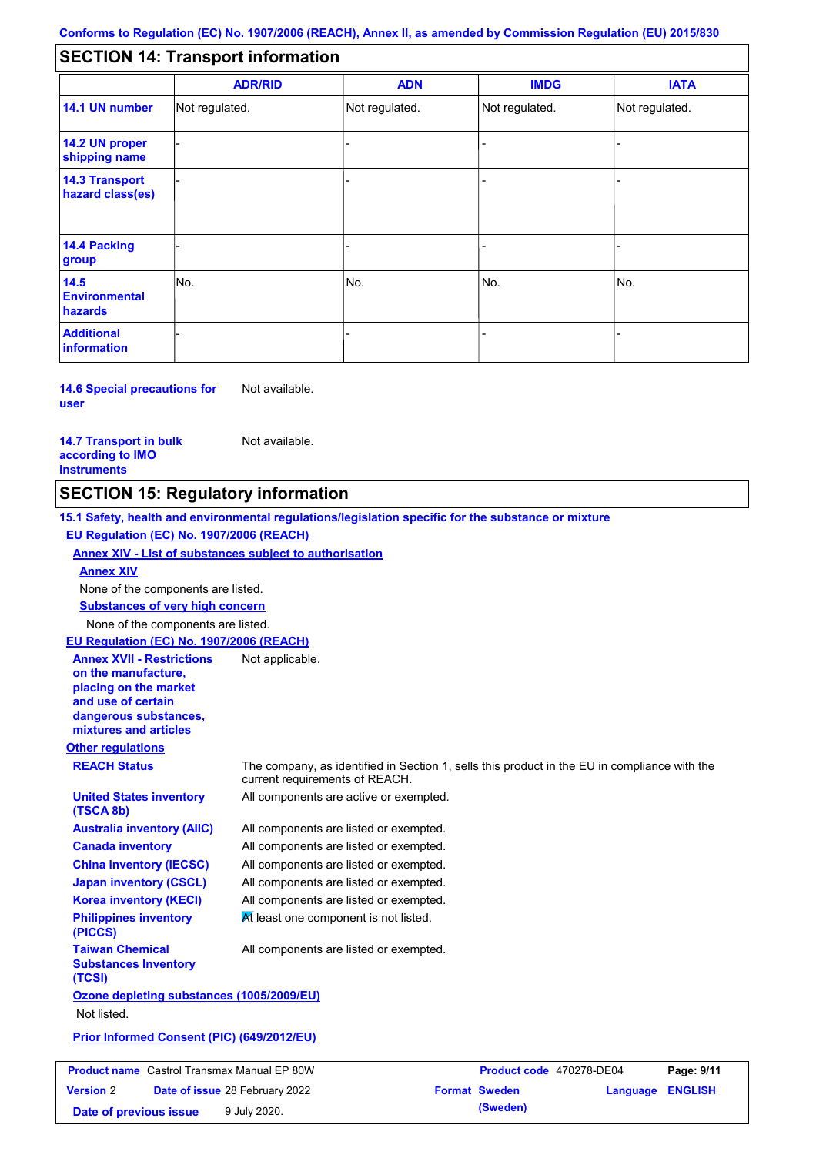#### - - - - - - - - - Not regulated. Not regulated. Not regulated. - - - **SECTION 14: Transport information ADR/RID IMDG IATA 14.1 UN number 14.2 UN proper shipping name 14.3 Transport hazard class(es) 14.4 Packing group ADN Additional information 14.5 Environmental hazards** No. 1980 | No. 1980 | No. 1980 | No. 1980 | No. 1980 | No. 1980 | No. 1980 | No. 1980 | No. 1980 | No. 1980 | Not regulated. - -<br>No. - -

**14.6 Special precautions for user** Not available.

#### **14.7 Transport in bulk according to IMO instruments**

Not available.

### **SECTION 15: Regulatory information**

**Other regulations REACH Status** The company, as identified in Section 1, sells this product in the EU in compliance with the current requirements of REACH. **15.1 Safety, health and environmental regulations/legislation specific for the substance or mixture EU Regulation (EC) No. 1907/2006 (REACH) Annex XIV - List of substances subject to authorisation Substances of very high concern** None of the components are listed. All components are listed or exempted. All components are listed or exempted. All components are listed or exempted. All components are listed or exempted. All components are active or exempted. All components are listed or exempted.  $M$  least one component is not listed. **United States inventory (TSCA 8b) Australia inventory (AIIC) Canada inventory China inventory (IECSC) Japan inventory (CSCL) Korea inventory (KECI) Philippines inventory (PICCS) Taiwan Chemical Substances Inventory (TCSI)** All components are listed or exempted. **Ozone depleting substances (1005/2009/EU)** Not listed. **Prior Informed Consent (PIC) (649/2012/EU)** None of the components are listed. **Annex XIV EU Regulation (EC) No. 1907/2006 (REACH) Annex XVII - Restrictions on the manufacture, placing on the market and use of certain dangerous substances, mixtures and articles** Not applicable. **Product name** Castrol Transmax Manual EP 80W **Product code** 470278-DE04 **Page: 9/11 Version** 2 **Date of issue** 28 February 2022 **Format Sweden Language ENGLISH**

**Date of previous issue 9 July 2020. (Sweden) (Sweden)**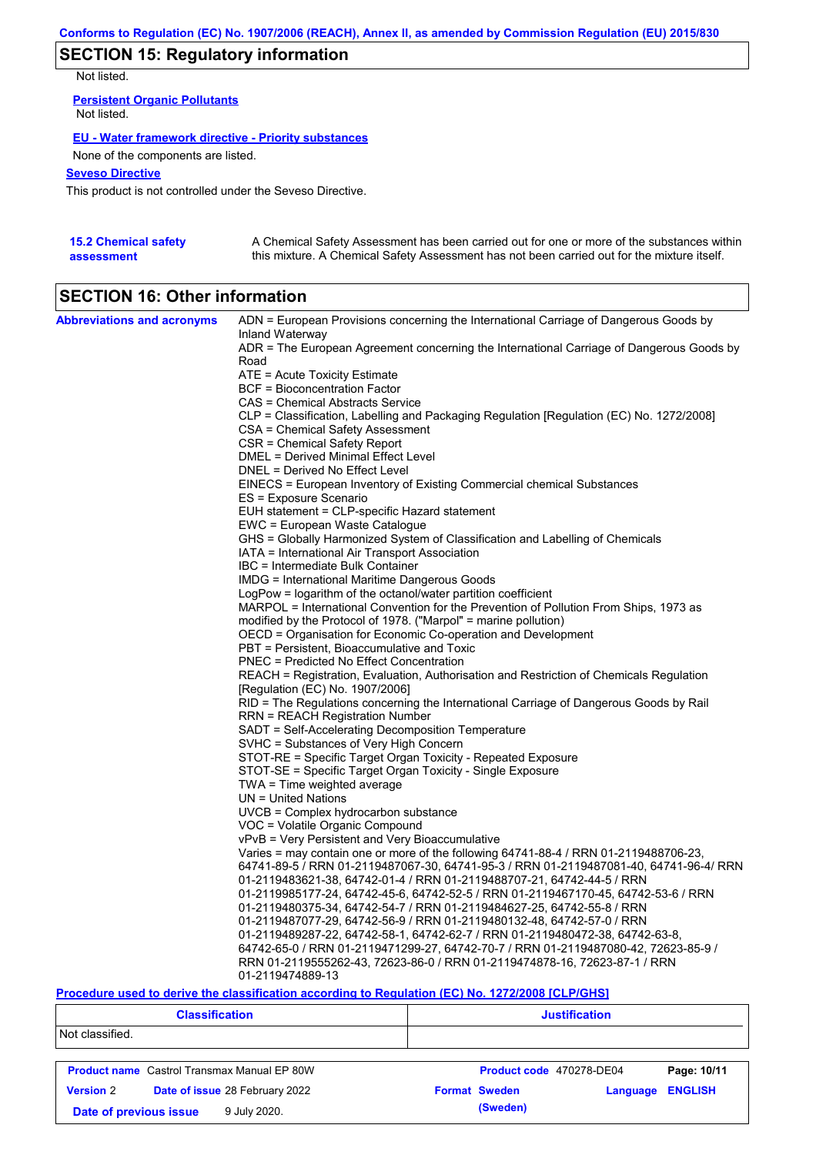## **SECTION 15: Regulatory information**

Not listed.

**Persistent Organic Pollutants** Not listed.

### **EU - Water framework directive - Priority substances**

None of the components are listed.

### **Seveso Directive**

This product is not controlled under the Seveso Directive.

| <b>15.2 Chemical safety</b> | A Chemical Safety Assessment has been carried out for one or more of the substances within  |
|-----------------------------|---------------------------------------------------------------------------------------------|
| assessment                  | this mixture. A Chemical Safety Assessment has not been carried out for the mixture itself. |

# **SECTION 16: Other information**

| <b>Abbreviations and acronyms</b> | ADN = European Provisions concerning the International Carriage of Dangerous Goods by    |
|-----------------------------------|------------------------------------------------------------------------------------------|
|                                   | Inland Waterway                                                                          |
|                                   | ADR = The European Agreement concerning the International Carriage of Dangerous Goods by |
|                                   | Road                                                                                     |
|                                   | ATE = Acute Toxicity Estimate                                                            |
|                                   | <b>BCF</b> = Bioconcentration Factor                                                     |
|                                   | CAS = Chemical Abstracts Service                                                         |
|                                   | CLP = Classification, Labelling and Packaging Regulation [Regulation (EC) No. 1272/2008] |
|                                   | CSA = Chemical Safety Assessment                                                         |
|                                   | CSR = Chemical Safety Report                                                             |
|                                   | DMEL = Derived Minimal Effect Level                                                      |
|                                   | DNEL = Derived No Effect Level                                                           |
|                                   | EINECS = European Inventory of Existing Commercial chemical Substances                   |
|                                   | ES = Exposure Scenario                                                                   |
|                                   | EUH statement = CLP-specific Hazard statement                                            |
|                                   | EWC = European Waste Catalogue                                                           |
|                                   | GHS = Globally Harmonized System of Classification and Labelling of Chemicals            |
|                                   | IATA = International Air Transport Association                                           |
|                                   | IBC = Intermediate Bulk Container                                                        |
|                                   | IMDG = International Maritime Dangerous Goods                                            |
|                                   | LogPow = logarithm of the octanol/water partition coefficient                            |
|                                   | MARPOL = International Convention for the Prevention of Pollution From Ships, 1973 as    |
|                                   | modified by the Protocol of 1978. ("Marpol" = marine pollution)                          |
|                                   | OECD = Organisation for Economic Co-operation and Development                            |
|                                   | PBT = Persistent, Bioaccumulative and Toxic<br>PNEC = Predicted No Effect Concentration  |
|                                   | REACH = Registration, Evaluation, Authorisation and Restriction of Chemicals Regulation  |
|                                   | [Regulation (EC) No. 1907/2006]                                                          |
|                                   | RID = The Regulations concerning the International Carriage of Dangerous Goods by Rail   |
|                                   | RRN = REACH Registration Number                                                          |
|                                   | SADT = Self-Accelerating Decomposition Temperature                                       |
|                                   | SVHC = Substances of Very High Concern                                                   |
|                                   | STOT-RE = Specific Target Organ Toxicity - Repeated Exposure                             |
|                                   | STOT-SE = Specific Target Organ Toxicity - Single Exposure                               |
|                                   | $TWA = Time$ weighted average                                                            |
|                                   | $UN = United Nations$                                                                    |
|                                   | UVCB = Complex hydrocarbon substance                                                     |
|                                   | VOC = Volatile Organic Compound                                                          |
|                                   | vPvB = Very Persistent and Very Bioaccumulative                                          |
|                                   | Varies = may contain one or more of the following 64741-88-4 / RRN 01-2119488706-23,     |
|                                   | 64741-89-5 / RRN 01-2119487067-30, 64741-95-3 / RRN 01-2119487081-40, 64741-96-4/ RRN    |
|                                   | 01-2119483621-38, 64742-01-4 / RRN 01-2119488707-21, 64742-44-5 / RRN                    |
|                                   | 01-2119985177-24, 64742-45-6, 64742-52-5 / RRN 01-2119467170-45, 64742-53-6 / RRN        |
|                                   | 01-2119480375-34, 64742-54-7 / RRN 01-2119484627-25, 64742-55-8 / RRN                    |
|                                   | 01-2119487077-29, 64742-56-9 / RRN 01-2119480132-48, 64742-57-0 / RRN                    |
|                                   | 01-2119489287-22, 64742-58-1, 64742-62-7 / RRN 01-2119480472-38, 64742-63-8,             |
|                                   | 64742-65-0 / RRN 01-2119471299-27, 64742-70-7 / RRN 01-2119487080-42, 72623-85-9 /       |
|                                   | RRN 01-2119555262-43, 72623-86-0 / RRN 01-2119474878-16, 72623-87-1 / RRN                |
|                                   | 01-2119474889-13                                                                         |

### **Procedure used to derive the classification according to Regulation (EC) No. 1272/2008 [CLP/GHS]**

| <b>Classification</b>                  |                                                    | <b>Justification</b>     |          |                |  |
|----------------------------------------|----------------------------------------------------|--------------------------|----------|----------------|--|
| Not classified.                        |                                                    |                          |          |                |  |
|                                        | <b>Product name</b> Castrol Transmax Manual EP 80W | Product code 470278-DE04 |          | Page: 10/11    |  |
| <b>Version 2</b>                       | <b>Date of issue 28 February 2022</b>              | <b>Format Sweden</b>     | Language | <b>ENGLISH</b> |  |
| 9 July 2020.<br>Date of previous issue |                                                    | (Sweden)                 |          |                |  |